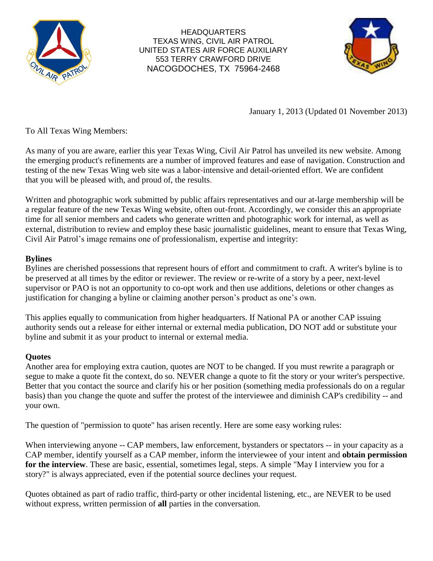

HEADQUARTERS TEXAS WING, CIVIL AIR PATROL UNITED STATES AIR FORCE AUXILIARY 553 TERRY CRAWFORD DRIVE NACOGDOCHES, TX 75964-2468



January 1, 2013 (Updated 01 November 2013)

To All Texas Wing Members:

As many of you are aware, earlier this year Texas Wing, Civil Air Patrol has unveiled its new website. Among the emerging product's refinements are a number of improved features and ease of navigation. Construction and testing of the new Texas Wing web site was a labor-intensive and detail-oriented effort. We are confident that you will be pleased with, and proud of, the results.

Written and photographic work submitted by public affairs representatives and our at-large membership will be a regular feature of the new Texas Wing website, often out-front. Accordingly, we consider this an appropriate time for all senior members and cadets who generate written and photographic work for internal, as well as external, distribution to review and employ these basic journalistic guidelines, meant to ensure that Texas Wing, Civil Air Patrol's image remains one of professionalism, expertise and integrity:

## **Bylines**

Bylines are cherished possessions that represent hours of effort and commitment to craft. A writer's byline is to be preserved at all times by the editor or reviewer. The review or re-write of a story by a peer, next-level supervisor or PAO is not an opportunity to co-opt work and then use additions, deletions or other changes as justification for changing a byline or claiming another person's product as one's own.

This applies equally to communication from higher headquarters. If National PA or another CAP issuing authority sends out a release for either internal or external media publication, DO NOT add or substitute your byline and submit it as your product to internal or external media.

# **Quotes**

Another area for employing extra caution, quotes are NOT to be changed. If you must rewrite a paragraph or segue to make a quote fit the context, do so. NEVER change a quote to fit the story or your writer's perspective. Better that you contact the source and clarify his or her position (something media professionals do on a regular basis) than you change the quote and suffer the protest of the interviewee and diminish CAP's credibility -- and your own.

The question of "permission to quote" has arisen recently. Here are some easy working rules:

When interviewing anyone -- CAP members, law enforcement, bystanders or spectators -- in your capacity as a CAP member, identify yourself as a CAP member, inform the interviewee of your intent and **obtain permission for the interview**. These are basic, essential, sometimes legal, steps. A simple "May I interview you for a story?" is always appreciated, even if the potential source declines your request.

Quotes obtained as part of radio traffic, third-party or other incidental listening, etc., are NEVER to be used without express, written permission of **all** parties in the conversation.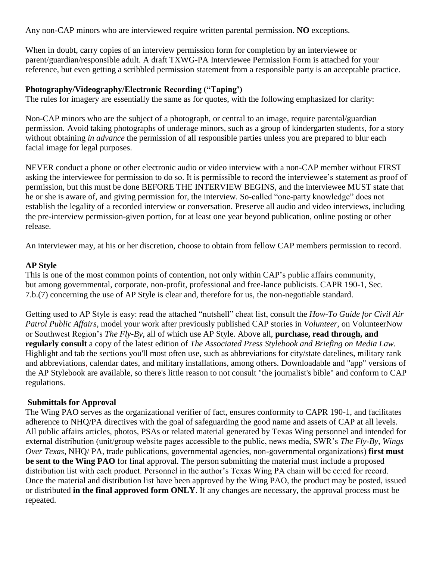Any non-CAP minors who are interviewed require written parental permission. **NO** exceptions.

When in doubt, carry copies of an interview permission form for completion by an interviewee or parent/guardian/responsible adult. A draft TXWG-PA Interviewee Permission Form is attached for your reference, but even getting a scribbled permission statement from a responsible party is an acceptable practice.

### **Photography/Videography/Electronic Recording ("Taping')**

The rules for imagery are essentially the same as for quotes, with the following emphasized for clarity:

Non-CAP minors who are the subject of a photograph, or central to an image, require parental/guardian permission. Avoid taking photographs of underage minors, such as a group of kindergarten students, for a story without obtaining *in advance* the permission of all responsible parties unless you are prepared to blur each facial image for legal purposes.

NEVER conduct a phone or other electronic audio or video interview with a non-CAP member without FIRST asking the interviewee for permission to do so. It is permissible to record the interviewee's statement as proof of permission, but this must be done BEFORE THE INTERVIEW BEGINS, and the interviewee MUST state that he or she is aware of, and giving permission for, the interview. So-called "one-party knowledge" does not establish the legality of a recorded interview or conversation. Preserve all audio and video interviews, including the pre-interview permission-given portion, for at least one year beyond publication, online posting or other release.

An interviewer may, at his or her discretion, choose to obtain from fellow CAP members permission to record.

#### **AP Style**

This is one of the most common points of contention, not only within CAP's public affairs community, but among governmental, corporate, non-profit, professional and free-lance publicists. CAPR 190-1, Sec. 7.b.(7) concerning the use of AP Style is clear and, therefore for us, the non-negotiable standard.

Getting used to AP Style is easy: read the attached "nutshell" cheat list, consult the *How-To Guide for Civil Air Patrol Public Affairs*, model your work after previously published CAP stories in *Volunteer,* on VolunteerNow or Southwest Region's *The Fly-By*, all of which use AP Style. Above all, **purchase, read through, and regularly consult** a copy of the latest edition of *The Associated Press Stylebook and Briefing on Media Law.* Highlight and tab the sections you'll most often use, such as abbreviations for city/state datelines, military rank and abbreviations, calendar dates, and military installations, among others. Downloadable and "app" versions of the AP Stylebook are available, so there's little reason to not consult "the journalist's bible" and conform to CAP regulations.

#### **Submittals for Approval**

The Wing PAO serves as the organizational verifier of fact, ensures conformity to CAPR 190-1, and facilitates adherence to NHQ/PA directives with the goal of safeguarding the good name and assets of CAP at all levels. All public affairs articles, photos, PSAs or related material generated by Texas Wing personnel and intended for external distribution (unit/group website pages accessible to the public, news media, SWR's *The Fly-By, Wings Over Texas,* NHQ/ PA, trade publications, governmental agencies, non-governmental organizations) **first must be sent to the Wing PAO** for final approval. The person submitting the material must include a proposed distribution list with each product. Personnel in the author's Texas Wing PA chain will be cc:ed for record. Once the material and distribution list have been approved by the Wing PAO, the product may be posted, issued or distributed **in the final approved form ONLY**. If any changes are necessary, the approval process must be repeated.